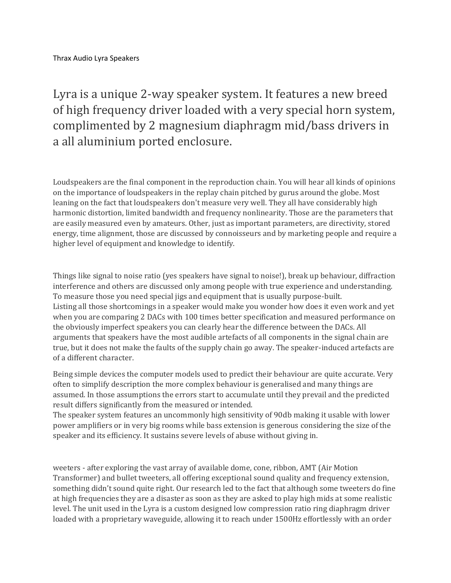## Lyra is a unique 2-way speaker system. It features a new breed of high frequency driver loaded with a very special horn system, complimented by 2 magnesium diaphragm mid/bass drivers in a all aluminium ported enclosure.

Loudspeakers are the final component in the reproduction chain. You will hear all kinds of opinions on the importance of loudspeakers in the replay chain pitched by gurus around the globe. Most leaning on the fact that loudspeakers don't measure very well. They all have considerably high harmonic distortion, limited bandwidth and frequency nonlinearity. Those are the parameters that are easily measured even by amateurs. Other, just as important parameters, are directivity, stored energy, time alignment, those are discussed by connoisseurs and by marketing people and require a higher level of equipment and knowledge to identify.

Things like signal to noise ratio (yes speakers have signal to noise!), break up behaviour, diffraction interference and others are discussed only among people with true experience and understanding. To measure those you need special jigs and equipment that is usually purpose-built. Listing all those shortcomings in a speaker would make you wonder how does it even work and yet when you are comparing 2 DACs with 100 times better specification and measured performance on the obviously imperfect speakers you can clearly hear the difference between the DACs. All arguments that speakers have the most audible artefacts of all components in the signal chain are true, but it does not make the faults of the supply chain go away. The speaker-induced artefacts are of a different character.

Being simple devices the computer models used to predict their behaviour are quite accurate. Very often to simplify description the more complex behaviour is generalised and many things are assumed. In those assumptions the errors start to accumulate until they prevail and the predicted result differs significantly from the measured or intended.

The speaker system features an uncommonly high sensitivity of 90db making it usable with lower power amplifiers or in very big rooms while bass extension is generous considering the size of the speaker and its efficiency. It sustains severe levels of abuse without giving in.

weeters - after exploring the vast array of available dome, cone, ribbon, AMT (Air Motion Transformer) and bullet tweeters, all offering exceptional sound quality and frequency extension, something didn't sound quite right. Our research led to the fact that although some tweeters do fine at high frequencies they are a disaster as soon as they are asked to play high mids at some realistic level. The unit used in the Lyra is a custom designed low compression ratio ring diaphragm driver loaded with a proprietary waveguide, allowing it to reach under 1500Hz effortlessly with an order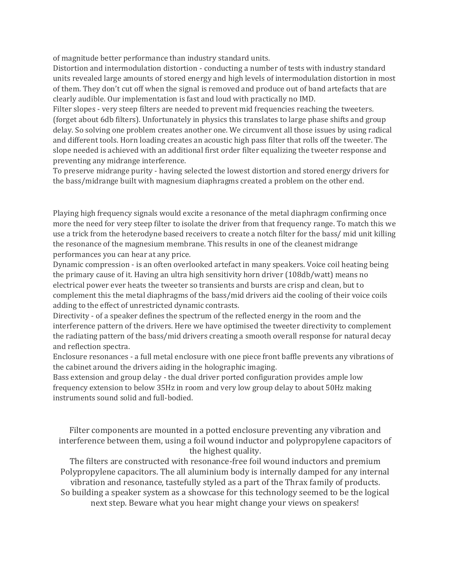of magnitude better performance than industry standard units.

Distortion and intermodulation distortion - conducting a number of tests with industry standard units revealed large amounts of stored energy and high levels of intermodulation distortion in most of them. They don't cut off when the signal is removed and produce out of band artefacts that are clearly audible. Our implementation is fast and loud with practically no IMD.

Filter slopes - very steep filters are needed to prevent mid frequencies reaching the tweeters. (forget about 6db filters). Unfortunately in physics this translates to large phase shifts and group delay. So solving one problem creates another one. We circumvent all those issues by using radical and different tools. Horn loading creates an acoustic high pass filter that rolls off the tweeter. The slope needed is achieved with an additional first order filter equalizing the tweeter response and preventing any midrange interference.

To preserve midrange purity - having selected the lowest distortion and stored energy drivers for the bass/midrange built with magnesium diaphragms created a problem on the other end.

Playing high frequency signals would excite a resonance of the metal diaphragm confirming once more the need for very steep filter to isolate the driver from that frequency range. To match this we use a trick from the heterodyne based receivers to create a notch filter for the bass/ mid unit killing the resonance of the magnesium membrane. This results in one of the cleanest midrange performances you can hear at any price.

Dynamic compression - is an often overlooked artefact in many speakers. Voice coil heating being the primary cause of it. Having an ultra high sensitivity horn driver (108db/watt) means no electrical power ever heats the tweeter so transients and bursts are crisp and clean, but to complement this the metal diaphragms of the bass/mid drivers aid the cooling of their voice coils adding to the effect of unrestricted dynamic contrasts.

Directivity - of a speaker defines the spectrum of the reflected energy in the room and the interference pattern of the drivers. Here we have optimised the tweeter directivity to complement the radiating pattern of the bass/mid drivers creating a smooth overall response for natural decay and reflection spectra.

Enclosure resonances - a full metal enclosure with one piece front baffle prevents any vibrations of the cabinet around the drivers aiding in the holographic imaging.

Bass extension and group delay - the dual driver ported configuration provides ample low frequency extension to below 35Hz in room and very low group delay to about 50Hz making instruments sound solid and full-bodied.

Filter components are mounted in a potted enclosure preventing any vibration and interference between them, using a foil wound inductor and polypropylene capacitors of the highest quality.

The filters are constructed with resonance-free foil wound inductors and premium Polypropylene capacitors. The all aluminium body is internally damped for any internal vibration and resonance, tastefully styled as a part of the Thrax family of products. So building a speaker system as a showcase for this technology seemed to be the logical next step. Beware what you hear might change your views on speakers!